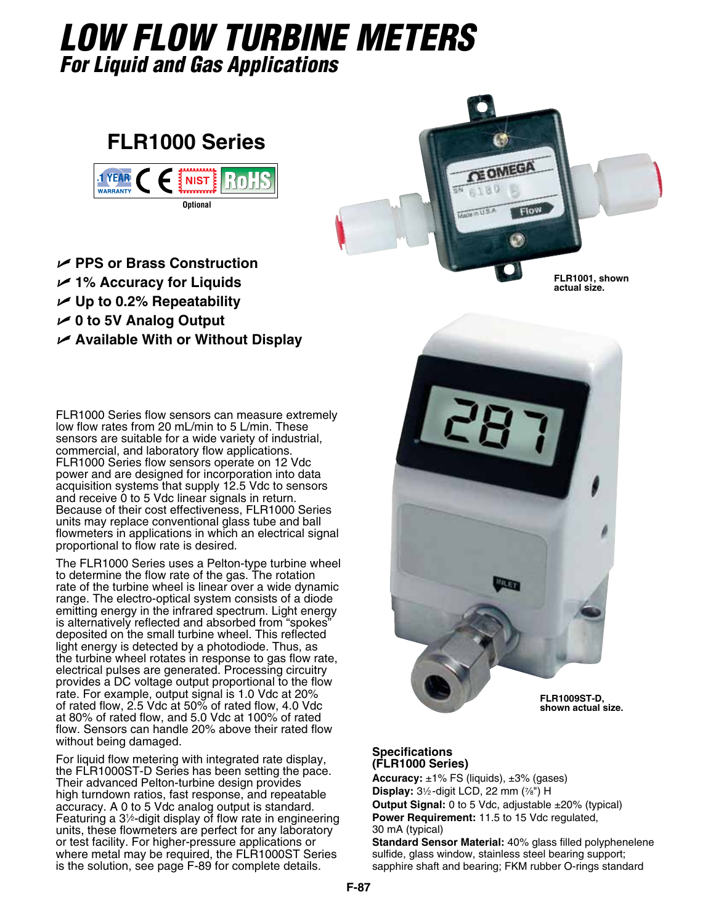# *Low Flow Turbine Meters For Liquid and Gas Applications*

## **FLR1000 Series**



- U **PPS or Brass Construction**
- U **1% Accuracy for Liquids**
- **∠** Up to 0.2% Repeatability
- U **0 to 5V Analog Output**
- U **Available With or Without Display**

FLR1000 Series flow sensors can measure extremely low flow rates from 20 mL/min to 5 L/min. These sensors are suitable for a wide variety of industrial, commercial, and laboratory flow applications. FLR1000 Series flow sensors operate on 12 Vdc power and are designed for incorporation into data acquisition systems that supply 12.5 Vdc to sensors and receive 0 to 5 Vdc linear signals in return. Because of their cost effectiveness, FLR1000 Series units may replace conventional glass tube and ball flowmeters in applications in which an electrical signal proportional to flow rate is desired.

The FLR1000 Series uses a Pelton-type turbine wheel to determine the flow rate of the gas. The rotation rate of the turbine wheel is linear over a wide dynamic range. The electro-optical system consists of a diode emitting energy in the infrared spectrum. Light energy is alternatively reflected and absorbed from "spokes" deposited on the small turbine wheel. This reflected light energy is detected by a photodiode. Thus, as the turbine wheel rotates in response to gas flow rate, electrical pulses are generated. Processing circuitry provides a DC voltage output proportional to the flow rate. For example, output signal is 1.0 Vdc at 20% of rated flow, 2.5 Vdc at 50% of rated flow, 4.0 Vdc at 80% of rated flow, and 5.0 Vdc at 100% of rated flow. Sensors can handle 20% above their rated flow without being damaged.

For liquid flow metering with integrated rate display, the FLR1000ST-D Series has been setting the pace. Their advanced Pelton-turbine design provides high turndown ratios, fast response, and repeatable accuracy. A 0 to 5 Vdc analog output is standard. Featuring a 31 2-digit display of flow rate in engineering ⁄ units, these flowmeters are perfect for any laboratory or test facility. For higher-pressure applications or where metal may be required, the FLR1000ST Series is the solution, see page F-89 for complete details.



**actual size.**



#### **Specifications (FLR1000 Series)**

**Accuracy:** ±1% FS (liquids), ±3% (gases) **Display:** 31⁄2 -digit LCD, 22 mm (7⁄8") H **Output Signal:** 0 to 5 Vdc, adjustable ±20% (typical) **Power Requirement:** 11.5 to 15 Vdc regulated, 30 mA (typical)

**Standard Sensor Material:** 40% glass filled polyphenelene sulfide, glass window, stainless steel bearing support; sapphire shaft and bearing; FKM rubber O-rings standard